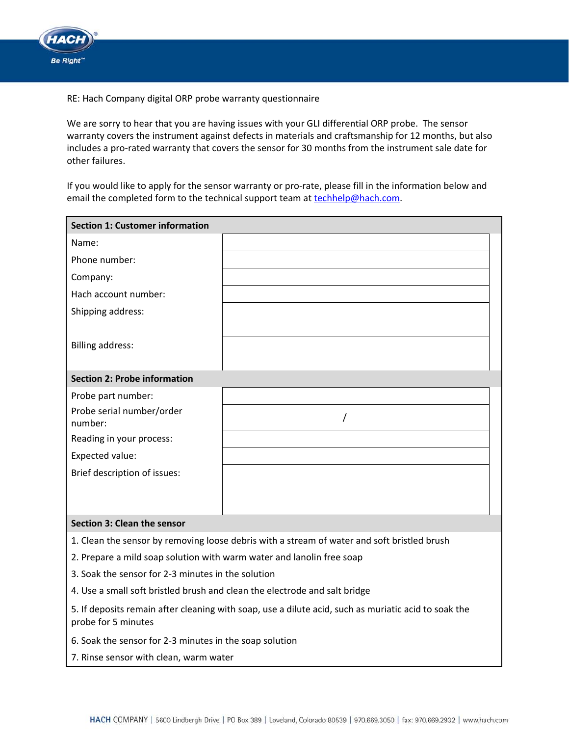

RE: Hach Company digital ORP probe warranty questionnaire

We are sorry to hear that you are having issues with your GLI differential ORP probe. The sensor warranty covers the instrument against defects in materials and craftsmanship for 12 months, but also includes a pro-rated warranty that covers the sensor for 30 months from the instrument sale date for other failures.

If you would like to apply for the sensor warranty or pro‐rate, please fill in the information below and email the completed form to the technical support team at [techhelp@hach.com](mailto:techhelp@hach.com).

| <b>Section 1: Customer information</b>                                                                                      |  |  |  |  |
|-----------------------------------------------------------------------------------------------------------------------------|--|--|--|--|
| Name:                                                                                                                       |  |  |  |  |
| Phone number:                                                                                                               |  |  |  |  |
| Company:                                                                                                                    |  |  |  |  |
| Hach account number:                                                                                                        |  |  |  |  |
| Shipping address:                                                                                                           |  |  |  |  |
|                                                                                                                             |  |  |  |  |
| <b>Billing address:</b>                                                                                                     |  |  |  |  |
|                                                                                                                             |  |  |  |  |
| <b>Section 2: Probe information</b>                                                                                         |  |  |  |  |
| Probe part number:                                                                                                          |  |  |  |  |
| Probe serial number/order<br>number:                                                                                        |  |  |  |  |
| Reading in your process:                                                                                                    |  |  |  |  |
| Expected value:                                                                                                             |  |  |  |  |
| Brief description of issues:                                                                                                |  |  |  |  |
|                                                                                                                             |  |  |  |  |
|                                                                                                                             |  |  |  |  |
| <b>Section 3: Clean the sensor</b>                                                                                          |  |  |  |  |
| 1. Clean the sensor by removing loose debris with a stream of water and soft bristled brush                                 |  |  |  |  |
| 2. Prepare a mild soap solution with warm water and lanolin free soap                                                       |  |  |  |  |
| 3. Soak the sensor for 2-3 minutes in the solution                                                                          |  |  |  |  |
| 4. Use a small soft bristled brush and clean the electrode and salt bridge                                                  |  |  |  |  |
| 5. If deposits remain after cleaning with soap, use a dilute acid, such as muriatic acid to soak the<br>probe for 5 minutes |  |  |  |  |
| 6. Soak the sensor for 2-3 minutes in the soap solution                                                                     |  |  |  |  |

7. Rinse sensor with clean, warm water